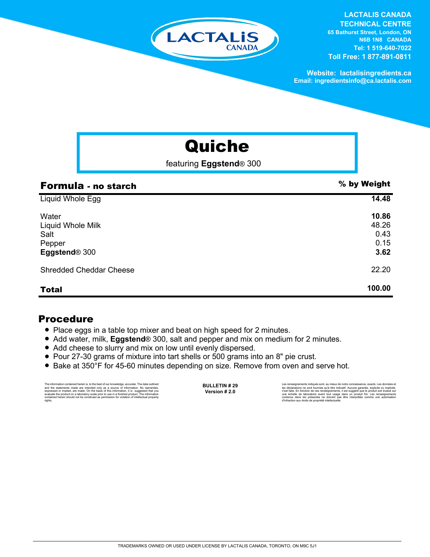

**LACTALIS CANADA TECHNICAL CENTRE 65 Bathurst Street, London, ON N6B 1N8 CANADA Tel: 1 519-640-7022 Toll Free: 1 877-891-0811**

**Website: lactalisingredients.ca Email: ingredientsinfo@ca.lactalis.com**

## Quiche

featuring **Eggstend**® 300

| Formula - no starch                                                       | % by Weight                            |
|---------------------------------------------------------------------------|----------------------------------------|
| Liquid Whole Egg                                                          | 14.48                                  |
| Water<br>Liquid Whole Milk<br>Salt<br>Pepper<br>Eggstend <sup>®</sup> 300 | 10.86<br>48.26<br>0.43<br>0.15<br>3.62 |
| <b>Shredded Cheddar Cheese</b>                                            | 22.20                                  |
| <b>Total</b>                                                              | 100.00                                 |

## Procedure

- Place eggs in a table top mixer and beat on high speed for 2 minutes.
- Add water, milk, **Eggstend**<sup>®</sup> 300, salt and pepper and mix on medium for 2 minutes.
- Add cheese to slurry and mix on low until evenly dispersed.
- = Pour 27-30 grams of mixture into tart shells or 500 grams into an 8" pie crust.
- Bake at 350°F for 45-60 minutes depending on size. Remove from oven and serve hot.

The information contained herein is, to the best of our knowledge, accurate. The data outlined<br>and the statements made are intended only as a a source of information. No warranties,<br>expressed or implied, are made. On the b rights.

**BULLETIN # 29 Version # 2.0**

Les renseignements indiqués sont, au mieux de notre connaissance, exacts. Les données et<br>les déclarations ne sont fournies qu'à titre indicatif. Aucune garantie, explicite ou implicite,<br>riest faite. En fonction de ces rens